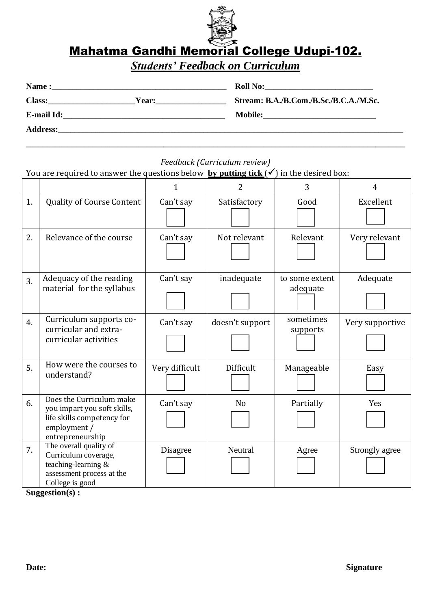

*Students' Feedback on Curriculum*

| Name:           |              | <b>Roll No:</b><br><u> 1980 - Jan Barbara, martin a shekara 1980 - An tsa a tsa a tsa a tsa a tsa a tsa a tsa a tsa a tsa a tsa a tsa</u> |
|-----------------|--------------|-------------------------------------------------------------------------------------------------------------------------------------------|
| <b>Class:</b>   | <b>Year:</b> | Stream: B.A./B.Com./B.Sc./B.C.A./M.Sc.                                                                                                    |
| E-mail Id:      |              | <b>Mobile:</b>                                                                                                                            |
| <b>Address:</b> |              |                                                                                                                                           |

## *Feedback (Curriculum review)*

**\_\_\_\_\_\_\_\_\_\_\_\_\_\_\_\_\_\_\_\_\_\_\_\_\_\_\_\_\_\_\_\_\_\_\_\_\_\_\_\_\_\_\_\_\_\_\_\_\_\_\_\_\_\_\_\_\_\_\_\_\_\_\_\_\_\_\_\_\_\_\_\_\_\_\_\_\_\_\_\_\_\_\_\_\_\_\_\_\_\_\_**

You are required to answer the questions below **by putting tick**  $(\checkmark)$  in the desired box:

|    |                                                                                                                           |                | 2               | 3                          | 4               |
|----|---------------------------------------------------------------------------------------------------------------------------|----------------|-----------------|----------------------------|-----------------|
| 1. | <b>Quality of Course Content</b>                                                                                          | Can't say      | Satisfactory    | Good                       | Excellent       |
| 2. | Relevance of the course                                                                                                   | Can't say      | Not relevant    | Relevant                   | Very relevant   |
| 3. | Adequacy of the reading<br>material for the syllabus                                                                      | Can't say      | inadequate      | to some extent<br>adequate | Adequate        |
| 4. | Curriculum supports co-<br>curricular and extra-<br>curricular activities                                                 | Can't say      | doesn't support | sometimes<br>supports      | Very supportive |
| 5. | How were the courses to<br>understand?                                                                                    | Very difficult | Difficult       | Manageable                 | Easy            |
| 6. | Does the Curriculum make<br>you impart you soft skills,<br>life skills competency for<br>employment /<br>entrepreneurship | Can't say      | N <sub>o</sub>  | Partially                  | Yes             |
| 7. | The overall quality of<br>Curriculum coverage,<br>teaching-learning &<br>assessment process at the<br>College is good     | Disagree       | Neutral         | Agree                      | Strongly agree  |

**Suggestion(s) :**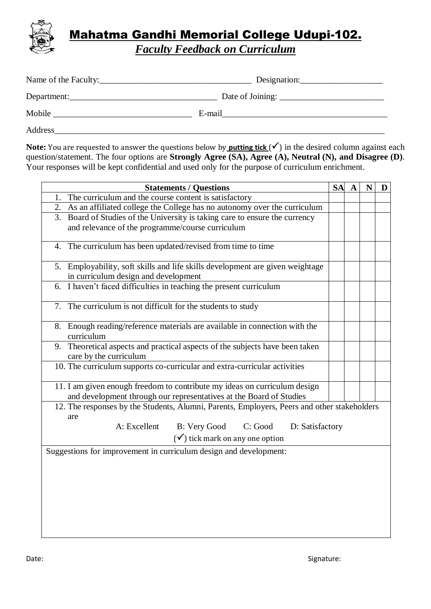

*Faculty Feedback on Curriculum*

|             | Designation:                                                                                                                                                                                                                   |
|-------------|--------------------------------------------------------------------------------------------------------------------------------------------------------------------------------------------------------------------------------|
| Department: |                                                                                                                                                                                                                                |
|             | E-mail explorer than the second service of the service of the service of the service of the service of the service of the service of the service of the service of the service of the service of the service of the service of |
| Address     |                                                                                                                                                                                                                                |

**Note:** You are requested to answer the questions below by **putting tick**  $(\checkmark)$  in the desired column against each question/statement. The four options are **Strongly Agree (SA), Agree (A), Neutral (N), and Disagree (D)**. Your responses will be kept confidential and used only for the purpose of curriculum enrichment.

| <b>Statements / Questions</b>                                                                          |  |  | N | D |
|--------------------------------------------------------------------------------------------------------|--|--|---|---|
| 1. The curriculum and the course content is satisfactory                                               |  |  |   |   |
| 2. As an affiliated college the College has no autonomy over the curriculum                            |  |  |   |   |
| 3. Board of Studies of the University is taking care to ensure the currency                            |  |  |   |   |
| and relevance of the programme/course curriculum                                                       |  |  |   |   |
| 4. The curriculum has been updated/revised from time to time                                           |  |  |   |   |
| 5. Employability, soft skills and life skills development are given weightage                          |  |  |   |   |
| in curriculum design and development                                                                   |  |  |   |   |
| 6. I haven't faced difficulties in teaching the present curriculum                                     |  |  |   |   |
| 7. The curriculum is not difficult for the students to study                                           |  |  |   |   |
| 8. Enough reading/reference materials are available in connection with the<br>curriculum               |  |  |   |   |
| 9. Theoretical aspects and practical aspects of the subjects have been taken<br>care by the curriculum |  |  |   |   |
| 10. The curriculum supports co-curricular and extra-curricular activities                              |  |  |   |   |
| 11. I am given enough freedom to contribute my ideas on curriculum design                              |  |  |   |   |
| and development through our representatives at the Board of Studies                                    |  |  |   |   |
| 12. The responses by the Students, Alumni, Parents, Employers, Peers and other stakeholders            |  |  |   |   |
| are                                                                                                    |  |  |   |   |
| A: Excellent<br>B: Very Good<br>C: Good D: Satisfactory                                                |  |  |   |   |
| $(\checkmark)$ tick mark on any one option                                                             |  |  |   |   |
| Suggestions for improvement in curriculum design and development:                                      |  |  |   |   |
|                                                                                                        |  |  |   |   |
|                                                                                                        |  |  |   |   |
|                                                                                                        |  |  |   |   |
|                                                                                                        |  |  |   |   |
|                                                                                                        |  |  |   |   |
|                                                                                                        |  |  |   |   |
|                                                                                                        |  |  |   |   |
|                                                                                                        |  |  |   |   |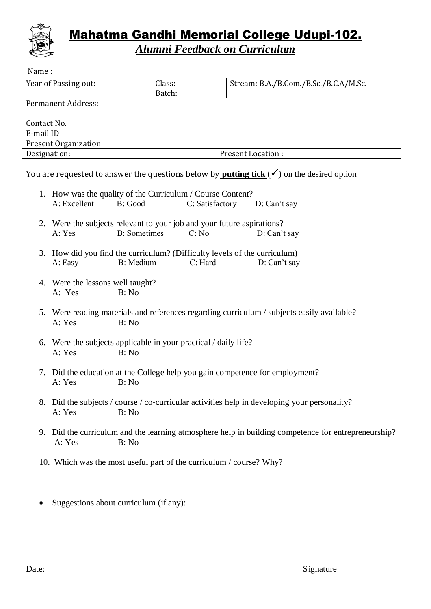

*Alumni Feedback on Curriculum*

| Name:                       |        |                                       |  |  |
|-----------------------------|--------|---------------------------------------|--|--|
| Year of Passing out:        | Class: | Stream: B.A./B.Com./B.Sc./B.C.A/M.Sc. |  |  |
|                             | Batch: |                                       |  |  |
| Permanent Address:          |        |                                       |  |  |
|                             |        |                                       |  |  |
| Contact No.                 |        |                                       |  |  |
| E-mail ID                   |        |                                       |  |  |
| <b>Present Organization</b> |        |                                       |  |  |
| Designation:                |        | <b>Present Location:</b>              |  |  |
|                             |        |                                       |  |  |

You are requested to answer the questions below by **putting tick**  $(\checkmark)$  on the desired option

| A: Excellent                                                                                                  | 1. How was the quality of the Curriculum / Course Content?<br>B: Good                          | C: Satisfactory | D: Can't say                                                                                        |  |
|---------------------------------------------------------------------------------------------------------------|------------------------------------------------------------------------------------------------|-----------------|-----------------------------------------------------------------------------------------------------|--|
|                                                                                                               |                                                                                                |                 |                                                                                                     |  |
| A: Yes                                                                                                        | 2. Were the subjects relevant to your job and your future aspirations?<br><b>B</b> : Sometimes | C: No           | D: Can't say                                                                                        |  |
| A: Easy                                                                                                       | 3. How did you find the curriculum? (Difficulty levels of the curriculum)<br>B: Medium         | C: Hard         | D: Can't say                                                                                        |  |
| 4. Were the lessons well taught?<br>A: Yes                                                                    | B: No                                                                                          |                 |                                                                                                     |  |
| 5. Were reading materials and references regarding curriculum / subjects easily available?<br>A: Yes<br>B: No |                                                                                                |                 |                                                                                                     |  |
| 6. Were the subjects applicable in your practical / daily life?<br>A: Yes<br>B: No                            |                                                                                                |                 |                                                                                                     |  |
| 7. Did the education at the College help you gain competence for employment?<br>B: No<br>A: Yes               |                                                                                                |                 |                                                                                                     |  |
| A: Yes                                                                                                        | B: No                                                                                          |                 | 8. Did the subjects / course / co-curricular activities help in developing your personality?        |  |
| A: Yes                                                                                                        | B: No                                                                                          |                 | 9. Did the curriculum and the learning atmosphere help in building competence for entrepreneurship? |  |
|                                                                                                               |                                                                                                |                 |                                                                                                     |  |

- 10. Which was the most useful part of the curriculum / course? Why?
- Suggestions about curriculum (if any):